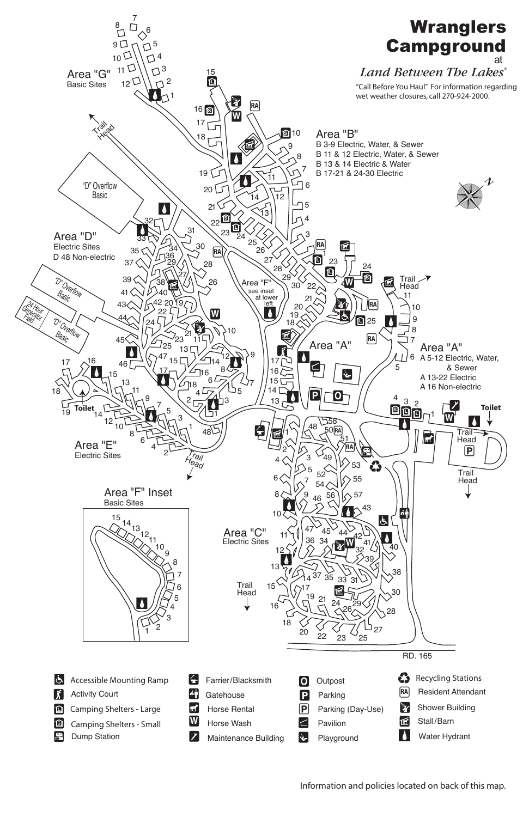

RD. 165

- Accessible Mounting Ramp | j' Activity Court Camping Shelters - Large  $\blacksquare$ **S** Camping Shelters - Small **W** Dump Station
- Farrier/Blacksmith  $\left| \mathbf{L} \right|$ ∲^∫ **Gatehouse**  $|\pi'|$ Horse Rental Horse Wash  $\vert \mathcal{S} \vert$ Maintenance Building
- **Outpost**  $|O|$  $|P|$ Parking  $|{\sf P}|$ Parking (Day-Use)  $\subset$ Pavilion ↡ Playground
- Recycling Stations **RA**  Resident Attendant Y Shower Building 匠 Stall/Barn Water Hydrant  $\bullet$

Information and policies located on back of this map.